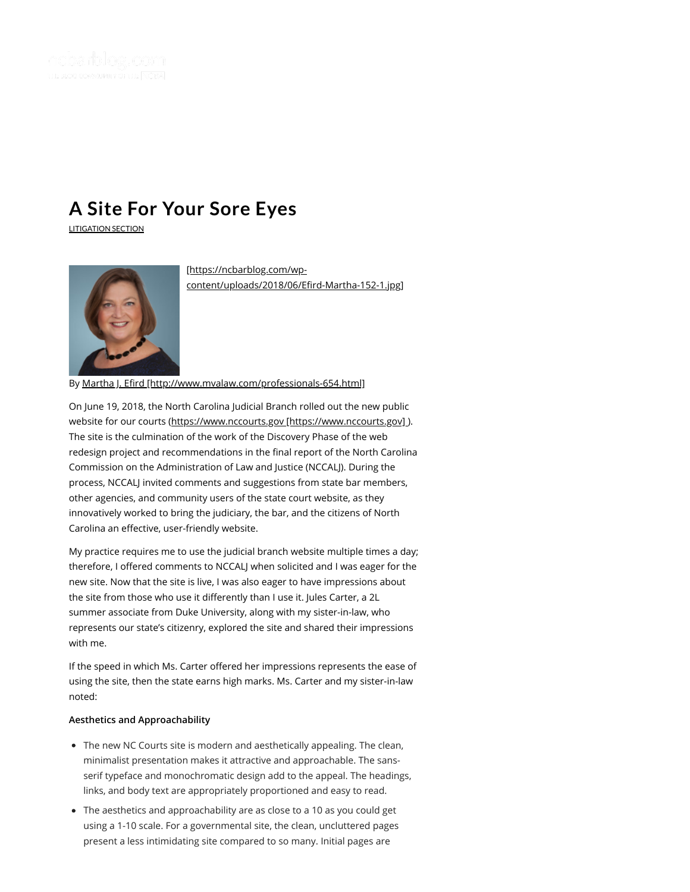

# **A Site For [Your](https://ncbarblog.com/a-site-for-your-sore-eyes/) Sore Eyes**

[LITIGATION](https://ncbarblog.com/category/litigation-section/) SECTION



[https://ncbarblog.com/wp[content/uploads/2018/06/Erd-Martha-152-1.jpg\]](https://ncbarblog.com/wp-content/uploads/2018/06/Efird-Martha-152-1.jpg)

By Martha J. Efird [http://www.mvalaw.com/professionals-654.html]

On June 19, 2018, the North Carolina Judicial Branch rolled out the new public website for our courts (https://www.nccourts.gov [https://www.nccourts.gov]). The site is the culmination of the work of the Discovery Phase of the web redesign project and recommendations in the final report of the North Carolina Commission on the Administration of Law and Justice (NCCALJ). During the process, NCCALJ invited comments and suggestions from state bar members, other agencies, and community users of the state court website, as they innovatively worked to bring the judiciary, the bar, and the citizens of North Carolina an effective, user-friendly website.

My practice requires me to use the judicial branch website multiple times a day; therefore, I offered comments to NCCALJ when solicited and I was eager for the new site. Now that the site is live, I was also eager to have impressions about the site from those who use it differently than I use it. Jules Carter, a 2L summer associate from Duke University, along with my sister-in-law, who represents our state's citizenry, explored the site and shared their impressions with me.

If the speed in which Ms. Carter offered her impressions represents the ease of using the site, then the state earns high marks. Ms. Carter and my sister-in-law noted:

## **Aesthetics and Approachability**

- The new NC Courts site is modern and aesthetically appealing. The clean, minimalist presentation makes it attractive and approachable. The sansserif typeface and monochromatic design add to the appeal. The headings, links, and body text are appropriately proportioned and easy to read.
- The aesthetics and approachability are as close to a 10 as you could get using a 1-10 scale. For a governmental site, the clean, uncluttered pages present a less intimidating site compared to so many. Initial pages are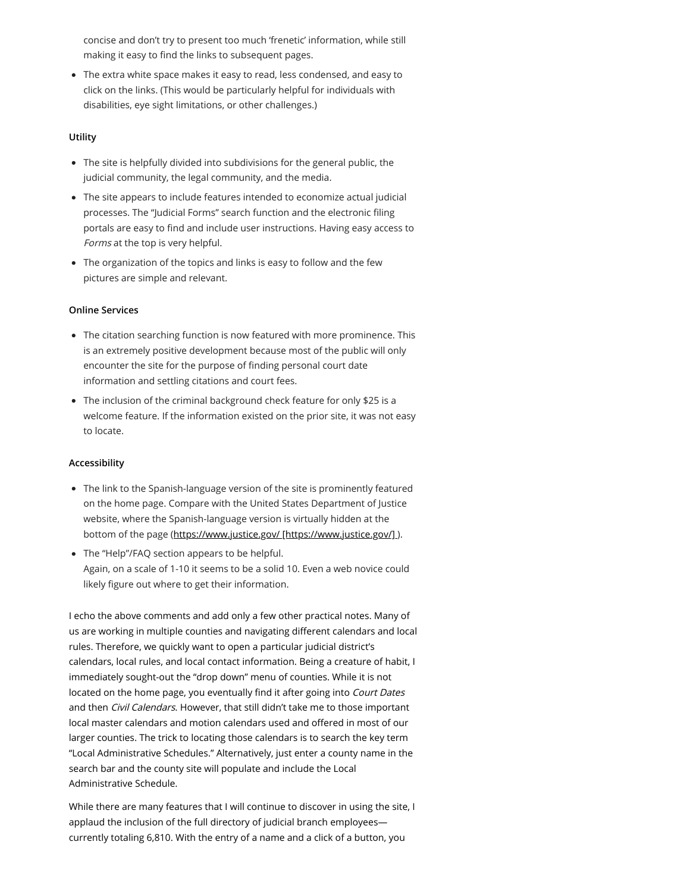concise and don't try to present too much 'frenetic' information, while still making it easy to find the links to subsequent pages.

The extra white space makes it easy to read, less condensed, and easy to click on the links. (This would be particularly helpful for individuals with disabilities, eye sight limitations, or other challenges.)

# **Utility**

- The site is helpfully divided into subdivisions for the general public, the judicial community, the legal community, and the media.
- The site appears to include features intended to economize actual judicial processes. The "Judicial Forms" search function and the electronic filing portals are easy to find and include user instructions. Having easy access to Forms at the top is very helpful.
- The organization of the topics and links is easy to follow and the few pictures are simple and relevant.

#### **Online Services**

- The citation searching function is now featured with more prominence. This is an extremely positive development because most of the public will only encounter the site for the purpose of finding personal court date information and settling citations and court fees.
- The inclusion of the criminal background check feature for only \$25 is a welcome feature. If the information existed on the prior site, it was not easy to locate.

#### **Accessibility**

- The link to the Spanish-language version of the site is prominently featured on the home page. Compare with the United States Department of Justice website, where the Spanish-language version is virtually hidden at the bottom of the page [\(https://www.justice.gov/ \[https://www.justice.gov/\]](https://www.justice.gov/) ).
- The "Help"/FAQ section appears to be helpful. Again, on a scale of 1-10 it seems to be a solid 10. Even a web novice could likely figure out where to get their information.

I echo the above comments and add only a few other practical notes. Many of us are working in multiple counties and navigating different calendars and local rules. Therefore, we quickly want to open a particular judicial district's calendars, local rules, and local contact information. Being a creature of habit, I immediately sought-out the "drop down" menu of counties. While it is not located on the home page, you eventually find it after going into Court Dates and then *Civil Calendars*. However, that still didn't take me to those important local master calendars and motion calendars used and offered in most of our larger counties. The trick to locating those calendars is to search the key term "Local Administrative Schedules." Alternatively, just enter a county name in the search bar and the county site will populate and include the Local Administrative Schedule.

While there are many features that I will continue to discover in using the site, I applaud the inclusion of the full directory of judicial branch employees currently totaling 6,810. With the entry of a name and a click of a button, you